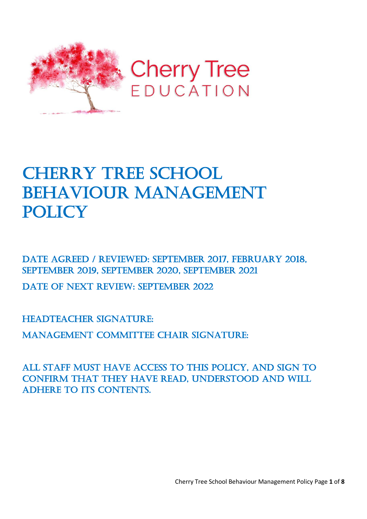

# **CHERRY TREE SCHOOL** BEHAVIOUR MANAGEMENT **POLICY**

DATE AGREED / REVIEWED: SEPTEMBER 2017, FEBRUARY 2018, September 2019, September 2020, September 2021

DATE OF NEXT REVIEW: SEPTEMBER 2022

HEADTEACHER SIGNATURE:

Management Committee Chair signature:

All staff must have access to this policy, and sign to confirm that they have read, understood and will ADHERE TO ITS CONTENTS.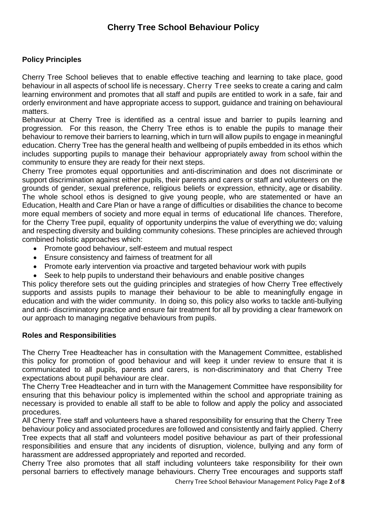## **Policy Principles**

Cherry Tree School believes that to enable effective teaching and learning to take place, good behaviour in all aspects of school life is necessary. Cherry Tree seeks to create a caring and calm learning environment and promotes that all staff and pupils are entitled to work in a safe, fair and orderly environment and have appropriate access to support, guidance and training on behavioural matters.

Behaviour at Cherry Tree is identified as a central issue and barrier to pupils learning and progression. For this reason, the Cherry Tree ethos is to enable the pupils to manage their behaviour to remove their barriers to learning, which in turn will allow pupils to engage in meaningful education. Cherry Tree has the general health and wellbeing of pupils embedded in its ethos which includes supporting pupils to manage their behaviour appropriately away from school within the community to ensure they are ready for their next steps.

Cherry Tree promotes equal opportunities and anti-discrimination and does not discriminate or support discrimination against either pupils, their parents and carers or staff and volunteers on the grounds of gender, sexual preference, religious beliefs or expression, ethnicity, age or disability. The whole school ethos is designed to give young people, who are statemented or have an Education, Health and Care Plan or have a range of difficulties or disabilities the chance to become more equal members of society and more equal in terms of educational life chances. Therefore, for the Cherry Tree pupil, equality of opportunity underpins the value of everything we do; valuing and respecting diversity and building community cohesions. These principles are achieved through combined holistic approaches which:

- Promote good behaviour, self-esteem and mutual respect
- Ensure consistency and fairness of treatment for all
- Promote early intervention via proactive and targeted behaviour work with pupils
- Seek to help pupils to understand their behaviours and enable positive changes

This policy therefore sets out the guiding principles and strategies of how Cherry Tree effectively supports and assists pupils to manage their behaviour to be able to meaningfully engage in education and with the wider community. In doing so, this policy also works to tackle anti-bullying and anti- discriminatory practice and ensure fair treatment for all by providing a clear framework on our approach to managing negative behaviours from pupils.

## **Roles and Responsibilities**

The Cherry Tree Headteacher has in consultation with the Management Committee, established this policy for promotion of good behaviour and will keep it under review to ensure that it is communicated to all pupils, parents and carers, is non-discriminatory and that Cherry Tree expectations about pupil behaviour are clear.

The Cherry Tree Headteacher and in turn with the Management Committee have responsibility for ensuring that this behaviour policy is implemented within the school and appropriate training as necessary is provided to enable all staff to be able to follow and apply the policy and associated procedures.

All Cherry Tree staff and volunteers have a shared responsibility for ensuring that the Cherry Tree behaviour policy and associated procedures are followed and consistently and fairly applied. Cherry Tree expects that all staff and volunteers model positive behaviour as part of their professional responsibilities and ensure that any incidents of disruption, violence, bullying and any form of harassment are addressed appropriately and reported and recorded.

Cherry Tree also promotes that all staff including volunteers take responsibility for their own personal barriers to effectively manage behaviours. Cherry Tree encourages and supports staff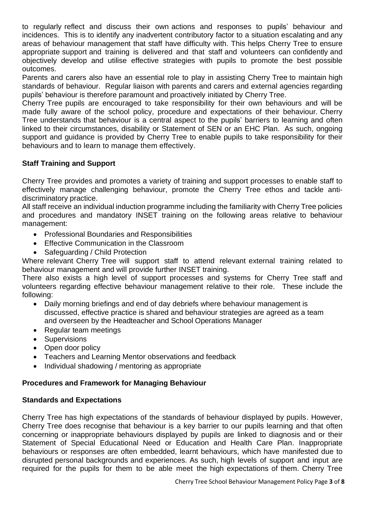to regularly reflect and discuss their own actions and responses to pupils' behaviour and incidences. This is to identify any inadvertent contributory factor to a situation escalating and any areas of behaviour management that staff have difficulty with. This helps Cherry Tree to ensure appropriate support and training is delivered and that staff and volunteers can confidently and objectively develop and utilise effective strategies with pupils to promote the best possible outcomes.

Parents and carers also have an essential role to play in assisting Cherry Tree to maintain high standards of behaviour. Regular liaison with parents and carers and external agencies regarding pupils' behaviour is therefore paramount and proactively initiated by Cherry Tree.

Cherry Tree pupils are encouraged to take responsibility for their own behaviours and will be made fully aware of the school policy, procedure and expectations of their behaviour. Cherry Tree understands that behaviour is a central aspect to the pupils' barriers to learning and often linked to their circumstances, disability or Statement of SEN or an EHC Plan. As such, ongoing support and guidance is provided by Cherry Tree to enable pupils to take responsibility for their behaviours and to learn to manage them effectively.

## **Staff Training and Support**

Cherry Tree provides and promotes a variety of training and support processes to enable staff to effectively manage challenging behaviour, promote the Cherry Tree ethos and tackle antidiscriminatory practice.

All staff receive an individual induction programme including the familiarity with Cherry Tree policies and procedures and mandatory INSET training on the following areas relative to behaviour management:

- Professional Boundaries and Responsibilities
- Effective Communication in the Classroom
- Safeguarding / Child Protection

Where relevant Cherry Tree will support staff to attend relevant external training related to behaviour management and will provide further INSET training.

There also exists a high level of support processes and systems for Cherry Tree staff and volunteers regarding effective behaviour management relative to their role. These include the following:

- Daily morning briefings and end of day debriefs where behaviour management is discussed, effective practice is shared and behaviour strategies are agreed as a team and overseen by the Headteacher and School Operations Manager
- Regular team meetings
- Supervisions
- Open door policy
- Teachers and Learning Mentor observations and feedback
- Individual shadowing / mentoring as appropriate

## **Procedures and Framework for Managing Behaviour**

#### **Standards and Expectations**

Cherry Tree has high expectations of the standards of behaviour displayed by pupils. However, Cherry Tree does recognise that behaviour is a key barrier to our pupils learning and that often concerning or inappropriate behaviours displayed by pupils are linked to diagnosis and or their Statement of Special Educational Need or Education and Health Care Plan. Inappropriate behaviours or responses are often embedded, learnt behaviours, which have manifested due to disrupted personal backgrounds and experiences. As such, high levels of support and input are required for the pupils for them to be able meet the high expectations of them. Cherry Tree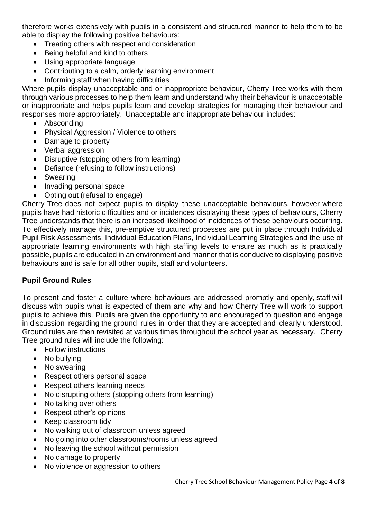therefore works extensively with pupils in a consistent and structured manner to help them to be able to display the following positive behaviours:

- Treating others with respect and consideration
- Being helpful and kind to others
- Using appropriate language
- Contributing to a calm, orderly learning environment
- Informing staff when having difficulties

Where pupils display unacceptable and or inappropriate behaviour, Cherry Tree works with them through various processes to help them learn and understand why their behaviour is unacceptable or inappropriate and helps pupils learn and develop strategies for managing their behaviour and responses more appropriately. Unacceptable and inappropriate behaviour includes:

- Absconding
- Physical Aggression / Violence to others
- Damage to property
- Verbal aggression
- Disruptive (stopping others from learning)
- Defiance (refusing to follow instructions)
- Swearing
- Invading personal space
- Opting out (refusal to engage)

Cherry Tree does not expect pupils to display these unacceptable behaviours, however where pupils have had historic difficulties and or incidences displaying these types of behaviours, Cherry Tree understands that there is an increased likelihood of incidences of these behaviours occurring. To effectively manage this, pre-emptive structured processes are put in place through Individual Pupil Risk Assessments, Individual Education Plans, Individual Learning Strategies and the use of appropriate learning environments with high staffing levels to ensure as much as is practically possible, pupils are educated in an environment and manner that is conducive to displaying positive behaviours and is safe for all other pupils, staff and volunteers.

## **Pupil Ground Rules**

To present and foster a culture where behaviours are addressed promptly and openly, staff will discuss with pupils what is expected of them and why and how Cherry Tree will work to support pupils to achieve this. Pupils are given the opportunity to and encouraged to question and engage in discussion regarding the ground rules in order that they are accepted and clearly understood. Ground rules are then revisited at various times throughout the school year as necessary. Cherry Tree ground rules will include the following:

- Follow instructions
- No bullying
- No swearing
- Respect others personal space
- Respect others learning needs
- No disrupting others (stopping others from learning)
- No talking over others
- Respect other's opinions
- Keep classroom tidy
- No walking out of classroom unless agreed
- No going into other classrooms/rooms unless agreed
- No leaving the school without permission
- No damage to property
- No violence or aggression to others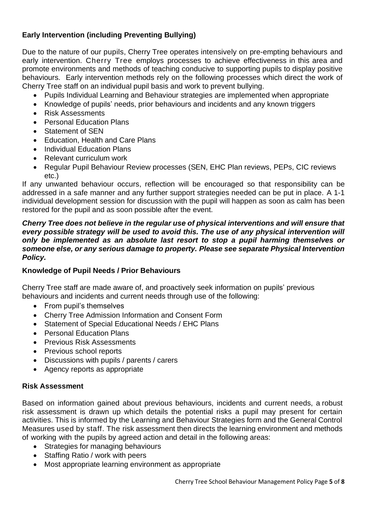# **Early Intervention (including Preventing Bullying)**

Due to the nature of our pupils, Cherry Tree operates intensively on pre-empting behaviours and early intervention. Cherry Tree employs processes to achieve effectiveness in this area and promote environments and methods of teaching conducive to supporting pupils to display positive behaviours. Early intervention methods rely on the following processes which direct the work of Cherry Tree staff on an individual pupil basis and work to prevent bullying.

- Pupils Individual Learning and Behaviour strategies are implemented when appropriate
- Knowledge of pupils' needs, prior behaviours and incidents and any known triggers
- Risk Assessments
- Personal Education Plans
- Statement of SEN
- Education, Health and Care Plans
- Individual Education Plans
- Relevant curriculum work
- Regular Pupil Behaviour Review processes (SEN, EHC Plan reviews, PEPs, CIC reviews etc.)

If any unwanted behaviour occurs, reflection will be encouraged so that responsibility can be addressed in a safe manner and any further support strategies needed can be put in place. A 1-1 individual development session for discussion with the pupil will happen as soon as calm has been restored for the pupil and as soon possible after the event.

#### *Cherry Tree does not believe in the regular use of physical interventions and will ensure that every possible strategy will be used to avoid this. The use of any physical intervention will only be implemented as an absolute last resort to stop a pupil harming themselves or someone else, or any serious damage to property. Please see separate Physical Intervention Policy.*

## **Knowledge of Pupil Needs / Prior Behaviours**

Cherry Tree staff are made aware of, and proactively seek information on pupils' previous behaviours and incidents and current needs through use of the following:

- From pupil's themselves
- Cherry Tree Admission Information and Consent Form
- Statement of Special Educational Needs / EHC Plans
- Personal Education Plans
- Previous Risk Assessments
- Previous school reports
- Discussions with pupils / parents / carers
- Agency reports as appropriate

## **Risk Assessment**

Based on information gained about previous behaviours, incidents and current needs, a robust risk assessment is drawn up which details the potential risks a pupil may present for certain activities. This is informed by the Learning and Behaviour Strategies form and the General Control Measures used by staff. The risk assessment then directs the learning environment and methods of working with the pupils by agreed action and detail in the following areas:

- Strategies for managing behaviours
- Staffing Ratio / work with peers
- Most appropriate learning environment as appropriate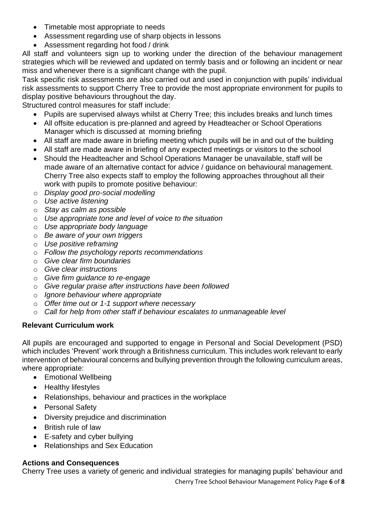- Timetable most appropriate to needs
- Assessment regarding use of sharp objects in lessons
- Assessment regarding hot food / drink

All staff and volunteers sign up to working under the direction of the behaviour management strategies which will be reviewed and updated on termly basis and or following an incident or near miss and whenever there is a significant change with the pupil.

Task specific risk assessments are also carried out and used in conjunction with pupils' individual risk assessments to support Cherry Tree to provide the most appropriate environment for pupils to display positive behaviours throughout the day.

Structured control measures for staff include:

- Pupils are supervised always whilst at Cherry Tree; this includes breaks and lunch times
- All offsite education is pre-planned and agreed by Headteacher or School Operations Manager which is discussed at morning briefing
- All staff are made aware in briefing meeting which pupils will be in and out of the building
- All staff are made aware in briefing of any expected meetings or visitors to the school
- Should the Headteacher and School Operations Manager be unavailable, staff will be made aware of an alternative contact for advice / guidance on behavioural management. Cherry Tree also expects staff to employ the following approaches throughout all their work with pupils to promote positive behaviour:
- o *Display good pro-social modelling*
- o *Use active listening*
- o *Stay as calm as possible*
- o *Use appropriate tone and level of voice to the situation*
- o *Use appropriate body language*
- o *Be aware of your own triggers*
- o *Use positive reframing*
- o *Follow the psychology reports recommendations*
- o *Give clear firm boundaries*
- o *Give clear instructions*
- o *Give firm guidance to re-engage*
- o *Give regular praise after instructions have been followed*
- o *Ignore behaviour where appropriate*
- o *Offer time out or 1-1 support where necessary*
- o *Call for help from other staff if behaviour escalates to unmanageable level*

# **Relevant Curriculum work**

All pupils are encouraged and supported to engage in Personal and Social Development (PSD) which includes 'Prevent' work through a Britishness curriculum. This includes work relevant to early intervention of behavioural concerns and bullying prevention through the following curriculum areas, where appropriate:

- Emotional Wellbeing
- Healthy lifestyles
- Relationships, behaviour and practices in the workplace
- Personal Safety
- Diversity prejudice and discrimination
- British rule of law
- E-safety and cyber bullying
- Relationships and Sex Education

# **Actions and Consequences**

Cherry Tree uses a variety of generic and individual strategies for managing pupils' behaviour and

Cherry Tree School Behaviour Management Policy Page **6** of **8**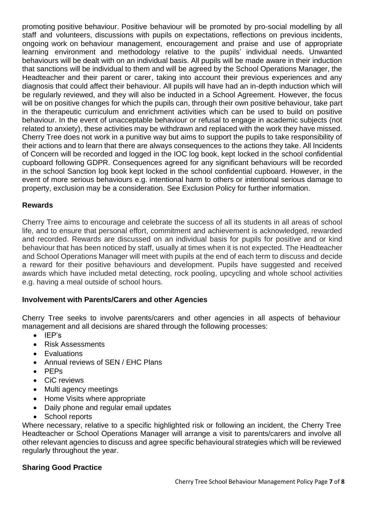promoting positive behaviour. Positive behaviour will be promoted by pro-social modelling by all staff and volunteers, discussions with pupils on expectations, reflections on previous incidents, ongoing work on behaviour management, encouragement and praise and use of appropriate learning environment and methodology relative to the pupils' individual needs. Unwanted behaviours will be dealt with on an individual basis. All pupils will be made aware in their induction that sanctions will be individual to them and will be agreed by the School Operations Manager, the Headteacher and their parent or carer, taking into account their previous experiences and any diagnosis that could affect their behaviour. All pupils will have had an in-depth induction which will be regularly reviewed, and they will also be inducted in a School Agreement. However, the focus will be on positive changes for which the pupils can, through their own positive behaviour, take part in the therapeutic curriculum and enrichment activities which can be used to build on positive behaviour. In the event of unacceptable behaviour or refusal to engage in academic subjects (not related to anxiety), these activities may be withdrawn and replaced with the work they have missed. Cherry Tree does not work in a punitive way but aims to support the pupils to take responsibility of their actions and to learn that there are always consequences to the actions they take. All Incidents of Concern will be recorded and logged in the IOC log book, kept locked in the school confidential cupboard following GDPR. Consequences agreed for any significant behaviours will be recorded in the school Sanction log book kept locked in the school confidential cupboard. However, in the event of more serious behaviours e.g. intentional harm to others or intentional serious damage to property, exclusion may be a consideration. See Exclusion Policy for further information.

## **Rewards**

Cherry Tree aims to encourage and celebrate the success of all its students in all areas of school life, and to ensure that personal effort, commitment and achievement is acknowledged, rewarded and recorded. Rewards are discussed on an individual basis for pupils for positive and or kind behaviour that has been noticed by staff, usually at times when it is not expected. The Headteacher and School Operations Manager will meet with pupils at the end of each term to discuss and decide a reward for their positive behaviours and development. Pupils have suggested and received awards which have included metal detecting, rock pooling, upcycling and whole school activities e.g. having a meal outside of school hours.

## **Involvement with Parents/Carers and other Agencies**

Cherry Tree seeks to involve parents/carers and other agencies in all aspects of behaviour management and all decisions are shared through the following processes:

- IEP's
- Risk Assessments
- **Evaluations**
- Annual reviews of SEN / EHC Plans
- PEPs
- CiC reviews
- Multi agency meetings
- Home Visits where appropriate
- Daily phone and regular email updates
- School reports

Where necessary, relative to a specific highlighted risk or following an incident, the Cherry Tree Headteacher or School Operations Manager will arrange a visit to parents/carers and involve all other relevant agencies to discuss and agree specific behavioural strategies which will be reviewed regularly throughout the year.

## **Sharing Good Practice**